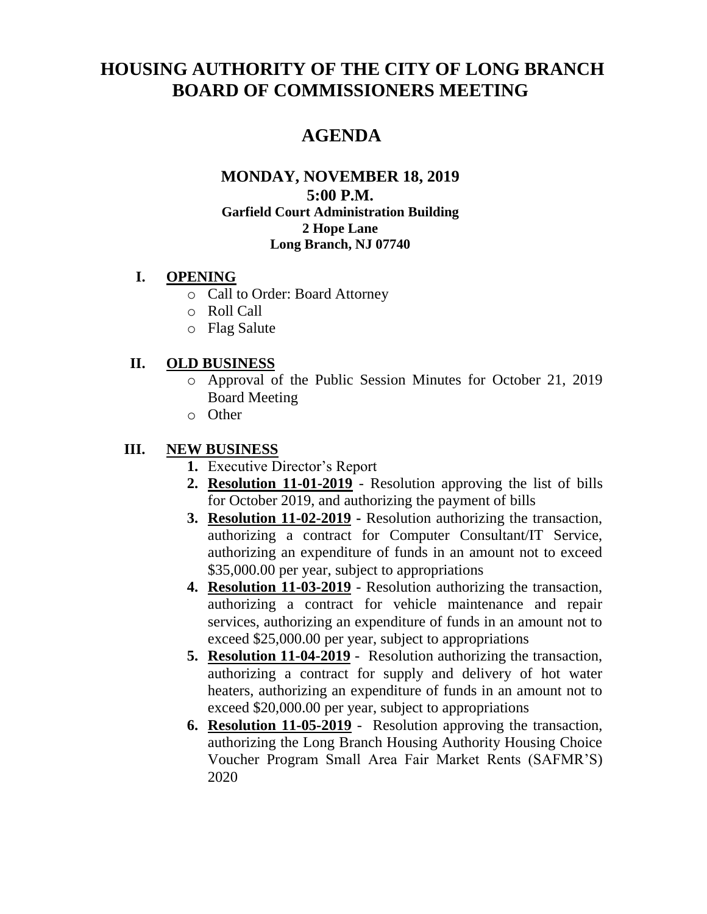# **HOUSING AUTHORITY OF THE CITY OF LONG BRANCH BOARD OF COMMISSIONERS MEETING**

## **AGENDA**

#### **MONDAY, NOVEMBER 18, 2019 5:00 P.M. Garfield Court Administration Building 2 Hope Lane Long Branch, NJ 07740**

#### **I. OPENING**

- o Call to Order: Board Attorney
- o Roll Call
- o Flag Salute

#### **II. OLD BUSINESS**

- o Approval of the Public Session Minutes for October 21, 2019 Board Meeting
- o Other

#### **III. NEW BUSINESS**

- **1.** Executive Director's Report
- **2. Resolution 11-01-2019** Resolution approving the list of bills for October 2019, and authorizing the payment of bills
- **3. Resolution 11-02-2019 -** Resolution authorizing the transaction, authorizing a contract for Computer Consultant/IT Service, authorizing an expenditure of funds in an amount not to exceed \$35,000.00 per year, subject to appropriations
- **4. Resolution 11-03-2019** Resolution authorizing the transaction, authorizing a contract for vehicle maintenance and repair services, authorizing an expenditure of funds in an amount not to exceed \$25,000.00 per year, subject to appropriations
- **5. Resolution 11-04-2019** Resolution authorizing the transaction, authorizing a contract for supply and delivery of hot water heaters, authorizing an expenditure of funds in an amount not to exceed \$20,000.00 per year, subject to appropriations
- **6. Resolution 11-05-2019** Resolution approving the transaction, authorizing the Long Branch Housing Authority Housing Choice Voucher Program Small Area Fair Market Rents (SAFMR'S) 2020